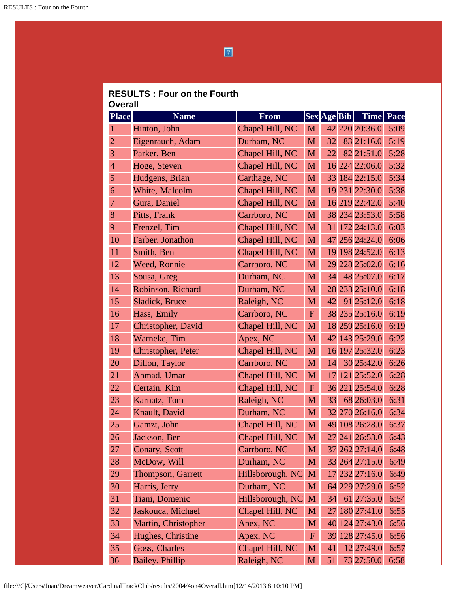$\boxed{2}$ 

| <b>RESULTS: Four on the Fourth</b> |  |  |  |
|------------------------------------|--|--|--|
| Overall                            |  |  |  |

| <b>Place</b>   | <b>Name</b>         | From             |                  | <b>Sex Age Bib</b> | <b>Time</b>    | Pace |
|----------------|---------------------|------------------|------------------|--------------------|----------------|------|
| 1              | Hinton, John        | Chapel Hill, NC  | M                |                    | 42 220 20:36.0 | 5:09 |
| $\overline{2}$ | Eigenrauch, Adam    | Durham, NC       | M                | 32                 | 83 21:16.0     | 5:19 |
| 3              | Parker, Ben         | Chapel Hill, NC  | M                | 22                 | 82 21:51.0     | 5:28 |
| $\overline{4}$ | Hoge, Steven        | Chapel Hill, NC  | M                |                    | 16 224 22:06.0 | 5:32 |
| 5              | Hudgens, Brian      | Carthage, NC     | M                |                    | 33 184 22:15.0 | 5:34 |
| 6              | White, Malcolm      | Chapel Hill, NC  | M                |                    | 19 231 22:30.0 | 5:38 |
| 7              | Gura, Daniel        | Chapel Hill, NC  | M                |                    | 16 219 22:42.0 | 5:40 |
| 8              | Pitts, Frank        | Carrboro, NC     | M                |                    | 38 234 23:53.0 | 5:58 |
| 9              | Frenzel, Tim        | Chapel Hill, NC  | M                |                    | 31 172 24:13.0 | 6:03 |
| 10             | Farber, Jonathon    | Chapel Hill, NC  | M                |                    | 47 256 24:24.0 | 6:06 |
| 11             | Smith, Ben          | Chapel Hill, NC  | M                |                    | 19 198 24:52.0 | 6:13 |
| 12             | Weed, Ronnie        | Carrboro, NC     | M                |                    | 29 228 25:02.0 | 6:16 |
| 13             | Sousa, Greg         | Durham, NC       | M                | 34                 | 48 25:07.0     | 6:17 |
| 14             | Robinson, Richard   | Durham, NC       | M                |                    | 28 233 25:10.0 | 6:18 |
| 15             | Sladick, Bruce      | Raleigh, NC      | M                | 42                 | 91 25:12.0     | 6:18 |
| 16             | Hass, Emily         | Carrboro, NC     | $\mathbf{F}$     |                    | 38 235 25:16.0 | 6:19 |
| 17             | Christopher, David  | Chapel Hill, NC  | M                |                    | 18 259 25:16.0 | 6:19 |
| 18             | Warneke, Tim        | Apex, NC         | M                |                    | 42 143 25:29.0 | 6:22 |
| 19             | Christopher, Peter  | Chapel Hill, NC  | M                |                    | 16 197 25:32.0 | 6:23 |
| 20             | Dillon, Taylor      | Carrboro, NC     | M                | 14                 | 30 25:42.0     | 6:26 |
| 21             | Ahmad, Umar         | Chapel Hill, NC  | M                | 17                 | 121 25:52.0    | 6:28 |
| 22             | Certain, Kim        | Chapel Hill, NC  | $\boldsymbol{F}$ |                    | 36 221 25:54.0 | 6:28 |
| 23             | Karnatz, Tom        | Raleigh, NC      | M                | 33                 | 68 26:03.0     | 6:31 |
| 24             | Knault, David       | Durham, NC       | M                |                    | 32 270 26:16.0 | 6:34 |
| 25             | Gamzt, John         | Chapel Hill, NC  | M                |                    | 49 108 26:28.0 | 6:37 |
| 26             | Jackson, Ben        | Chapel Hill, NC  | M                |                    | 27 241 26:53.0 | 6:43 |
| 27             | Conary, Scott       | Carrboro, NC     | M                |                    | 37 262 27:14.0 | 6:48 |
| 28             | McDow, Will         | Durham, NC       | M                |                    | 33 264 27:15.0 | 6:49 |
| 29             | Thompson, Garrett   | Hillsborough, NC | M                |                    | 17 232 27:16.0 | 6:49 |
| 30             | Harris, Jerry       | Durham, NC       | M                |                    | 64 229 27:29.0 | 6:52 |
| 31             | Tiani, Domenic      | Hillsborough, NC | M                | 34                 | 61 27:35.0     | 6:54 |
| 32             | Jaskouca, Michael   | Chapel Hill, NC  | M                | 27                 | 180 27:41.0    | 6:55 |
| 33             | Martin, Christopher | Apex, NC         | M                |                    | 40 124 27:43.0 | 6:56 |
| 34             | Hughes, Christine   | Apex, NC         | $\mathbf F$      |                    | 39 128 27:45.0 | 6:56 |
| 35             | Goss, Charles       | Chapel Hill, NC  | M                | 41                 | 12 27:49.0     | 6:57 |
| 36             | Bailey, Phillip     | Raleigh, NC      | M                | 51                 | 73 27:50.0     | 6:58 |

file:///C|/Users/Joan/Dreamweaver/CardinalTrackClub/results/2004/4on4Overall.htm[12/14/2013 8:10:10 PM]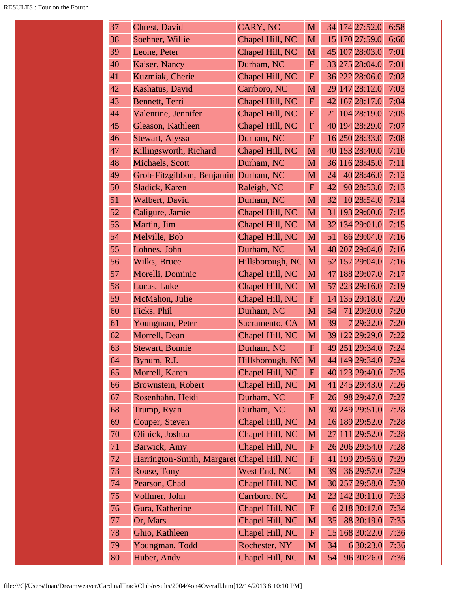| 37 | <b>Chrest</b> , David                      | CARY, NC         | M            |    | 34 174 27:52.0 | 6:58 |
|----|--------------------------------------------|------------------|--------------|----|----------------|------|
| 38 | Soehner, Willie                            | Chapel Hill, NC  | M            |    | 15 170 27:59.0 | 6:60 |
| 39 | Leone, Peter                               | Chapel Hill, NC  | $\mathbf{M}$ |    | 45 107 28:03.0 | 7:01 |
| 40 | Kaiser, Nancy                              | Durham, NC       | ${\bf F}$    |    | 33 275 28:04.0 | 7:01 |
| 41 | Kuzmiak, Cherie                            | Chapel Hill, NC  | ${\bf F}$    |    | 36 222 28:06.0 | 7:02 |
| 42 | Kashatus, David                            | Carrboro, NC     | M            |    | 29 147 28:12.0 | 7:03 |
| 43 | Bennett, Terri                             | Chapel Hill, NC  | $\mathbf F$  |    | 42 167 28:17.0 | 7:04 |
| 44 | Valentine, Jennifer                        | Chapel Hill, NC  | ${\bf F}$    |    | 21 104 28:19.0 | 7:05 |
| 45 | Gleason, Kathleen                          | Chapel Hill, NC  | $\mathbf F$  |    | 40 194 28:29.0 | 7:07 |
| 46 | Stewart, Alyssa                            | Durham, NC       | $\mathbf F$  |    | 16 250 28:33.0 | 7:08 |
| 47 | Killingsworth, Richard                     | Chapel Hill, NC  | M            |    | 40 153 28:40.0 | 7:10 |
| 48 | Michaels, Scott                            | Durham, NC       | M            |    | 36 116 28:45.0 | 7:11 |
| 49 | Grob-Fitzgibbon, Benjamin Durham, NC       |                  | M            | 24 | 40 28:46.0     | 7:12 |
| 50 | Sladick, Karen                             | Raleigh, NC      | $\mathbf{F}$ | 42 | 90 28:53.0     | 7:13 |
| 51 | Walbert, David                             | Durham, NC       | M            | 32 | 10 28:54.0     | 7:14 |
| 52 | Caligure, Jamie                            | Chapel Hill, NC  | M            |    | 31 193 29:00.0 | 7:15 |
| 53 | Martin, Jim                                | Chapel Hill, NC  | M            |    | 32 134 29:01.0 | 7:15 |
| 54 | Melville, Bob                              | Chapel Hill, NC  | M            | 51 | 86 29:04.0     | 7:16 |
| 55 | Lohnes, John                               | Durham, NC       | M            |    | 48 207 29:04.0 | 7:16 |
| 56 | Wilks, Bruce                               | Hillsborough, NC | M            |    | 52 157 29:04.0 | 7:16 |
| 57 | Morelli, Dominic                           | Chapel Hill, NC  | M            | 47 | 188 29:07.0    | 7:17 |
| 58 | Lucas, Luke                                | Chapel Hill, NC  | M            |    | 57 223 29:16.0 | 7:19 |
| 59 | McMahon, Julie                             | Chapel Hill, NC  | $\mathbf F$  |    | 14 135 29:18.0 | 7:20 |
| 60 | Ficks, Phil                                | Durham, NC       | M            | 54 | 71 29:20.0     | 7:20 |
| 61 | Youngman, Peter                            | Sacramento, CA   | M            | 39 | 7 29:22.0      | 7:20 |
| 62 | Morrell, Dean                              | Chapel Hill, NC  | M            | 39 | 122 29:29.0    | 7:22 |
| 63 | <b>Stewart, Bonnie</b>                     | Durham, NC       | $\mathbf F$  |    | 49 251 29:34.0 | 7:24 |
| 64 | Bynum, R.I.                                | Hillsborough, NC | M            |    | 44 149 29:34.0 | 7:24 |
| 65 | Morrell, Karen                             | Chapel Hill, NC  | ${\bf F}$    |    | 40 123 29:40.0 | 7:25 |
| 66 | <b>Brownstein, Robert</b>                  | Chapel Hill, NC  | M            |    | 41 245 29:43.0 | 7:26 |
| 67 | Rosenhahn, Heidi                           | Durham, NC       | ${\bf F}$    | 26 | 98 29:47.0     | 7:27 |
| 68 | Trump, Ryan                                | Durham, NC       | M            |    | 30 249 29:51.0 | 7:28 |
| 69 | Couper, Steven                             | Chapel Hill, NC  | M            |    | 16 189 29:52.0 | 7:28 |
| 70 | Olinick, Joshua                            | Chapel Hill, NC  | M            | 27 | 111 29:52.0    | 7:28 |
| 71 | Barwick, Amy                               | Chapel Hill, NC  | ${\bf F}$    |    | 26 206 29:54.0 | 7:28 |
| 72 | Harrington-Smith, Margaret Chapel Hill, NC |                  | ${\bf F}$    |    | 41 199 29:56.0 | 7:29 |
| 73 | Rouse, Tony                                | West End, NC     | M            | 39 | 36 29:57.0     | 7:29 |
| 74 | Pearson, Chad                              | Chapel Hill, NC  | M            |    | 30 257 29:58.0 | 7:30 |
| 75 | Vollmer, John                              | Carrboro, NC     | M            |    | 23 142 30:11.0 | 7:33 |
| 76 | Gura, Katherine                            | Chapel Hill, NC  | ${\bf F}$    |    | 16 218 30:17.0 | 7:34 |
| 77 | Or, Mars                                   | Chapel Hill, NC  | M            | 35 | 88 30:19.0     | 7:35 |
| 78 | Ghio, Kathleen                             | Chapel Hill, NC  | $\mathbf{F}$ | 15 | 168 30:22.0    | 7:36 |
| 79 | Youngman, Todd                             | Rochester, NY    | M            | 34 | 6 30:23.0      | 7:36 |
| 80 | Huber, Andy                                | Chapel Hill, NC  | M            | 54 | 96 30:26.0     | 7:36 |
|    |                                            |                  |              |    |                |      |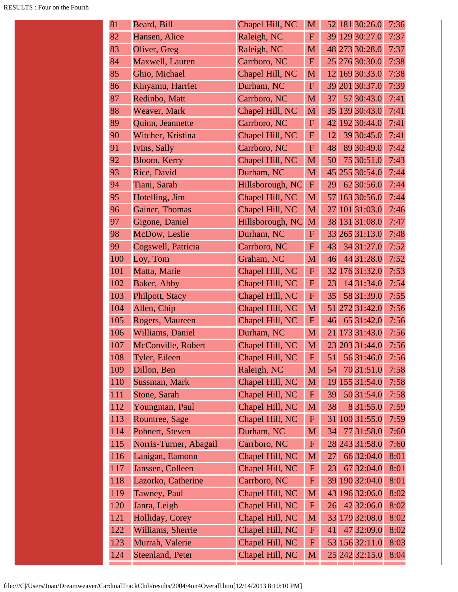| 81  | Beard, Bill            | Chapel Hill, NC  | M            | 52 | 181 30:26.0    | 7:36 |
|-----|------------------------|------------------|--------------|----|----------------|------|
| 82  | Hansen, Alice          | Raleigh, NC      | $\mathbf F$  |    | 39 129 30:27.0 | 7:37 |
| 83  | Oliver, Greg           | Raleigh, NC      | M            |    | 48 273 30:28.0 | 7:37 |
| 84  | Maxwell, Lauren        | Carrboro, NC     | $\mathbf{F}$ |    | 25 276 30:30.0 | 7:38 |
| 85  | Ghio, Michael          | Chapel Hill, NC  | M            | 12 | 169 30:33.0    | 7:38 |
| 86  | Kinyamu, Harriet       | Durham, NC       | $\mathbf F$  |    | 39 201 30:37.0 | 7:39 |
| 87  | Redinbo, Matt          | Carrboro, NC     | M            | 37 | 57 30:43.0     | 7:41 |
| 88  | Weaver, Mark           | Chapel Hill, NC  | M            |    | 35 139 30:43.0 | 7:41 |
| 89  | Quinn, Jeannette       | Carrboro, NC     | $\mathbf F$  | 42 | 192 30:44.0    | 7:41 |
| 90  | Witcher, Kristina      | Chapel Hill, NC  | $\mathbf F$  | 12 | 39 30:45.0     | 7:41 |
| 91  | Ivins, Sally           | Carrboro, NC     | $\mathbf F$  | 48 | 89 30:49.0     | 7:42 |
| 92  | Bloom, Kerry           | Chapel Hill, NC  | M            | 50 | 75 30:51.0     | 7:43 |
| 93  | Rice, David            | Durham, NC       | M            |    | 45 255 30:54.0 | 7:44 |
| 94  | Tiani, Sarah           | Hillsborough, NC | $\mathbf F$  | 29 | 62 30:56.0     | 7:44 |
| 95  | Hotelling, Jim         | Chapel Hill, NC  | M            | 57 | 163 30:56.0    | 7:44 |
| 96  | Gainer, Thomas         | Chapel Hill, NC  | M            | 27 | 101 31:03.0    | 7:46 |
| 97  | Gigone, Daniel         | Hillsborough, NC | M            |    | 38 131 31:08.0 | 7:47 |
| 98  | McDow, Leslie          | Durham, NC       | $\mathbf F$  |    | 33 265 31:13.0 | 7:48 |
| 99  | Cogswell, Patricia     | Carrboro, NC     | $\mathbf{F}$ | 43 | 34 31:27.0     | 7:52 |
| 100 | Loy, Tom               | Graham, NC       | M            | 46 | 44 31:28.0     | 7:52 |
| 101 | Matta, Marie           | Chapel Hill, NC  | $\mathbf F$  | 32 | 176 31:32.0    | 7:53 |
| 102 | Baker, Abby            | Chapel Hill, NC  | $\mathbf F$  | 23 | 14 31:34.0     | 7:54 |
| 103 | Philpott, Stacy        | Chapel Hill, NC  | $\mathbf F$  | 35 | 58 31:39.0     | 7:55 |
| 104 | Allen, Chip            | Chapel Hill, NC  | M            | 51 | 272 31:42.0    | 7:56 |
| 105 | Rogers, Maureen        | Chapel Hill, NC  | $\mathbf F$  | 46 | 65 31:42.0     | 7:56 |
| 106 | Williams, Daniel       | Durham, NC       | M            | 21 | 173 31:43.0    | 7:56 |
| 107 | McConville, Robert     | Chapel Hill, NC  | M            | 23 | 203 31:44.0    | 7:56 |
| 108 | Tyler, Eileen          | Chapel Hill, NC  | F            | 51 | 56 31:46.0     | 7:56 |
| 109 | Dillon, Ben            | Raleigh, NC      | M            | 54 | 70 31:51.0     | 7:58 |
| 110 | Sussman, Mark          | Chapel Hill, NC  | M            |    | 19 155 31:54.0 | 7:58 |
| 111 | Stone, Sarah           | Chapel Hill, NC  | ${\bf F}$    | 39 | 50 31:54.0     | 7:58 |
| 112 | Youngman, Paul         | Chapel Hill, NC  | M            | 38 | 8 31:55.0      | 7:59 |
| 113 | Rountree, Sage         | Chapel Hill, NC  | $\mathbf F$  |    | 31 100 31:55.0 | 7:59 |
| 114 | Pohnert, Steven        | Durham, NC       | M            | 34 | 77 31:58.0     | 7:60 |
| 115 | Norris-Turner, Abagail | Carrboro, NC     | ${\bf F}$    |    | 28 243 31:58.0 | 7:60 |
| 116 | Lanigan, Eamonn        | Chapel Hill, NC  | M            | 27 | 66 32:04.0     | 8:01 |
| 117 | Janssen, Colleen       | Chapel Hill, NC  | $\mathbf F$  | 23 | 67 32:04.0     | 8:01 |
| 118 | Lazorko, Catherine     | Carrboro, NC     | ${\bf F}$    |    | 39 190 32:04.0 | 8:01 |
| 119 | Tawney, Paul           | Chapel Hill, NC  | M            |    | 43 196 32:06.0 | 8:02 |
| 120 | Janra, Leigh           | Chapel Hill, NC  | $\mathbf F$  | 26 | 42 32:06.0     | 8:02 |
| 121 | Holliday, Corey        | Chapel Hill, NC  | M            |    | 33 179 32:08.0 | 8:02 |
| 122 | Williams, Sherrie      | Chapel Hill, NC  | $\mathbf{F}$ | 41 | 47 32:09.0     | 8:02 |
| 123 | Murrah, Valerie        | Chapel Hill, NC  | ${\bf F}$    |    | 53 156 32:11.0 | 8:03 |
| 124 | Steenland, Peter       | Chapel Hill, NC  | M            |    | 25 242 32:15.0 | 8:04 |
|     |                        |                  |              |    |                |      |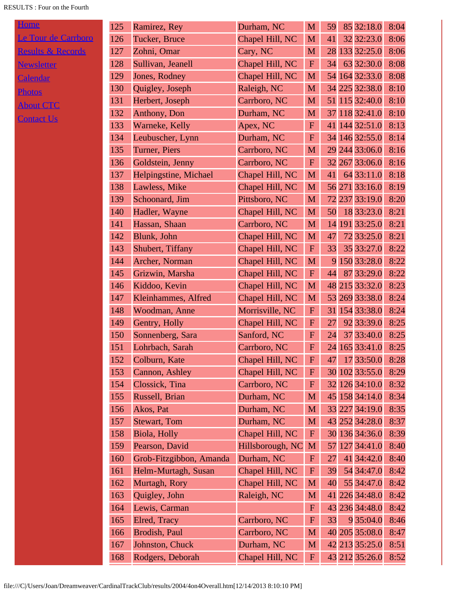## RESULTS : Four on the Fourth

| <b>Home</b>                  |
|------------------------------|
| Le Tour de Carrboro          |
| <b>Results &amp; Records</b> |
| <b>Newsletter</b>            |
| <b>Calendar</b>              |
| <b>Photos</b>                |
| <b>About CTC</b>             |

| 125 | Ramirez, Rey            | Durham, NC       | M                        | 59 | 85 32:18.0     | 8:04 |
|-----|-------------------------|------------------|--------------------------|----|----------------|------|
| 126 | Tucker, Bruce           | Chapel Hill, NC  | M                        | 41 | 32 32:23.0     | 8:06 |
| 127 | Zohni, Omar             | Cary, NC         | M                        |    | 28 133 32:25.0 | 8:06 |
| 128 | Sullivan, Jeanell       | Chapel Hill, NC  | $\mathbf F$              | 34 | 63 32:30.0     | 8:08 |
| 129 | Jones, Rodney           | Chapel Hill, NC  | M                        |    | 54 164 32:33.0 | 8:08 |
| 130 | Quigley, Joseph         | Raleigh, NC      | M                        |    | 34 225 32:38.0 | 8:10 |
| 131 | Herbert, Joseph         | Carrboro, NC     | M                        |    | 51 115 32:40.0 | 8:10 |
| 132 | Anthony, Don            | Durham, NC       | M                        |    | 37 118 32:41.0 | 8:10 |
| 133 | Warneke, Kelly          | Apex, NC         | $\mathbf F$              |    | 41 144 32:51.0 | 8:13 |
| 134 | Leubuscher, Lynn        | Durham, NC       | ${\bf F}$                |    | 34 146 32:55.0 | 8:14 |
| 135 | Turner, Piers           | Carrboro, NC     | M                        |    | 29 244 33:06.0 | 8:16 |
| 136 | Goldstein, Jenny        | Carrboro, NC     | $\mathbf F$              |    | 32 267 33:06.0 | 8:16 |
| 137 | Helpingstine, Michael   | Chapel Hill, NC  | M                        | 41 | 64 33:11.0     | 8:18 |
| 138 | Lawless, Mike           | Chapel Hill, NC  | M                        |    | 56 271 33:16.0 | 8:19 |
| 139 | Schoonard, Jim          | Pittsboro, NC    | M                        | 72 | 237 33:19.0    | 8:20 |
| 140 | Hadler, Wayne           | Chapel Hill, NC  | M                        | 50 | 18 33:23.0     | 8:21 |
| 141 | Hassan, Shaan           | Carrboro, NC     | M                        |    | 14 191 33:25.0 | 8:21 |
| 142 | Blunk, John             | Chapel Hill, NC  | M                        | 47 | 72 33:25.0     | 8:21 |
| 143 | Shubert, Tiffany        | Chapel Hill, NC  | $\mathbf{F}$             | 33 | 35 33:27.0     | 8:22 |
| 144 | Archer, Norman          | Chapel Hill, NC  | M                        |    | 9 150 33:28.0  | 8:22 |
| 145 | Grizwin, Marsha         | Chapel Hill, NC  | $\mathbf F$              | 44 | 87 33:29.0     | 8:22 |
| 146 | Kiddoo, Kevin           | Chapel Hill, NC  | M                        |    | 48 215 33:32.0 | 8:23 |
| 147 | Kleinhammes, Alfred     | Chapel Hill, NC  | M                        |    | 53 269 33:38.0 | 8:24 |
| 148 | Woodman, Anne           | Morrisville, NC  | $\mathbf F$              |    | 31 154 33:38.0 | 8:24 |
| 149 | Gentry, Holly           | Chapel Hill, NC  | ${\bf F}$                | 27 | 92 33:39.0     | 8:25 |
| 150 | Sonnenberg, Sara        | Sanford, NC      | ${\bf F}$                | 24 | 37 33:40.0     | 8:25 |
| 151 | Lohrbach, Sarah         | Carrboro, NC     | ${\bf F}$                |    | 24 165 33:41.0 | 8:25 |
| 152 | Colburn, Kate           | Chapel Hill, NC  | $\vert \mathbf{F} \vert$ | 47 | 17 33:50.0     | 8:28 |
| 153 | Cannon, Ashley          | Chapel Hill, NC  | F                        |    | 30 102 33:55.0 | 8:29 |
| 154 | Clossick, Tina          | Carrboro, NC     | ${\bf F}$                |    | 32 126 34:10.0 | 8:32 |
| 155 | Russell, Brian          | Durham, NC       | M                        |    | 45 158 34:14.0 | 8:34 |
| 156 | Akos, Pat               | Durham, NC       | M                        |    | 33 227 34:19.0 | 8:35 |
| 157 | <b>Stewart</b> , Tom    | Durham, NC       | M                        |    | 43 252 34:28.0 | 8:37 |
| 158 | Biola, Holly            | Chapel Hill, NC  | $\mathbf F$              |    | 30 136 34:36.0 | 8:39 |
| 159 | Pearson, David          | Hillsborough, NC | M                        | 57 | 127 34:41.0    | 8:40 |
| 160 | Grob-Fitzgibbon, Amanda | Durham, NC       | $\mathbf F$              | 27 | 41 34:42.0     | 8:40 |
| 161 | Helm-Murtagh, Susan     | Chapel Hill, NC  | F                        | 39 | 54 34:47.0     | 8:42 |
| 162 | Murtagh, Rory           | Chapel Hill, NC  | M                        | 40 | 55 34:47.0     | 8:42 |
| 163 | Quigley, John           | Raleigh, NC      | M                        | 41 | 226 34:48.0    | 8:42 |
| 164 | Lewis, Carman           |                  | $\mathbf F$              |    | 43 236 34:48.0 | 8:42 |
| 165 | Elred, Tracy            | Carrboro, NC     | $\mathbf F$              | 33 | 9 35:04.0      | 8:46 |
| 166 | Brodish, Paul           | Carrboro, NC     | M                        |    | 40 205 35:08.0 | 8:47 |
| 167 | Johnston, Chuck         | Durham, NC       | M                        |    | 42 213 35:25.0 | 8:51 |
| 168 | Rodgers, Deborah        | Chapel Hill, NC  | $\mathbf F$              |    | 43 212 35:26.0 | 8:52 |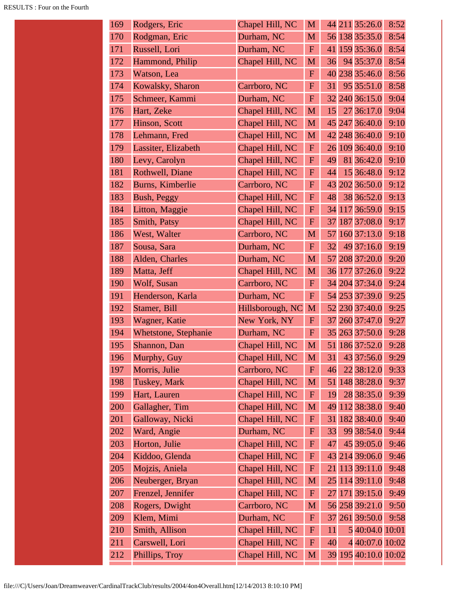| 169 | Rodgers, Eric        | Chapel Hill, NC  | M            |    | 44 211 35:26.0       | 8:52 |
|-----|----------------------|------------------|--------------|----|----------------------|------|
| 170 | Rodgman, Eric        | Durham, NC       | M            |    | 56 138 35:35.0       | 8:54 |
| 171 | Russell, Lori        | Durham, NC       | ${\bf F}$    |    | 41 159 35:36.0       | 8:54 |
| 172 | Hammond, Philip      | Chapel Hill, NC  | M            | 36 | 94 35:37.0           | 8:54 |
| 173 | Watson, Lea          |                  | $\mathbf F$  |    | 40 238 35:46.0       | 8:56 |
| 174 | Kowalsky, Sharon     | Carrboro, NC     | $\mathbf F$  | 31 | 95 35:51.0           | 8:58 |
| 175 | Schmeer, Kammi       | Durham, NC       | $\mathbf F$  |    | 32 240 36:15.0       | 9:04 |
| 176 | Hart, Zeke           | Chapel Hill, NC  | M            | 15 | 27 36:17.0           | 9:04 |
| 177 | Hinson, Scott        | Chapel Hill, NC  | M            |    | 45 247 36:40.0       | 9:10 |
| 178 | Lehmann, Fred        | Chapel Hill, NC  | M            |    | 42 248 36:40.0       | 9:10 |
| 179 | Lassiter, Elizabeth  | Chapel Hill, NC  | ${\bf F}$    |    | 26 109 36:40.0       | 9:10 |
| 180 | Levy, Carolyn        | Chapel Hill, NC  | $\mathbf F$  | 49 | 81 36:42.0           | 9:10 |
| 181 | Rothwell, Diane      | Chapel Hill, NC  | $\mathbf F$  | 44 | 15 36:48.0           | 9:12 |
| 182 | Burns, Kimberlie     | Carrboro, NC     | ${\bf F}$    |    | 43 202 36:50.0       | 9:12 |
| 183 | Bush, Peggy          | Chapel Hill, NC  | $\mathbf F$  | 48 | 38 36:52.0           | 9:13 |
| 184 | Litton, Maggie       | Chapel Hill, NC  | $\mathbf F$  | 34 | 117 36:59.0          | 9:15 |
| 185 | Smith, Patsy         | Chapel Hill, NC  | $\mathbf F$  | 37 | 187 37:08.0          | 9:17 |
| 186 | West, Walter         | Carrboro, NC     | M            | 57 | 160 37:13.0          | 9:18 |
| 187 | Sousa, Sara          | Durham, NC       | $\mathbf F$  | 32 | 49 37:16.0           | 9:19 |
| 188 | Alden, Charles       | Durham, NC       | M            |    | 57 208 37:20.0       | 9:20 |
| 189 | Matta, Jeff          | Chapel Hill, NC  | M            |    | 36 177 37:26.0       | 9:22 |
| 190 | Wolf, Susan          | Carrboro, NC     | ${\bf F}$    |    | 34 204 37:34.0       | 9:24 |
| 191 | Henderson, Karla     | Durham, NC       | $\mathbf F$  |    | 54 253 37:39.0       | 9:25 |
| 192 | Stamer, Bill         | Hillsborough, NC | M            |    | 52 230 37:40.0       | 9:25 |
| 193 | Wagner, Katie        | New York, NY     | $\mathbf F$  | 37 | 260 37:47.0          | 9:27 |
| 194 | Whetstone, Stephanie | Durham, NC       | ${\bf F}$    |    | 35 263 37:50.0       | 9:28 |
| 195 | Shannon, Dan         | Chapel Hill, NC  | M            |    | 51 186 37:52.0       | 9:28 |
| 196 | Murphy, Guy          | Chapel Hill, NC  | M            | 31 | 43 37:56.0           | 9:29 |
| 197 | Morris, Julie        | Carrboro, NC     | ${\bf F}$    | 46 | 22 38:12.0           | 9:33 |
| 198 | Tuskey, Mark         | Chapel Hill, NC  | M            | 51 | 148 38:28.0          | 9:37 |
| 199 | Hart, Lauren         | Chapel Hill, NC  | ${\bf F}$    | 19 | 28 38:35.0           | 9:39 |
| 200 | Gallagher, Tim       | Chapel Hill, NC  | M            | 49 | 112 38:38.0          | 9:40 |
| 201 | Galloway, Nicki      | Chapel Hill, NC  | ${\bf F}$    | 31 | 182 38:40.0          | 9:40 |
| 202 | Ward, Angie          | Durham, NC       | ${\bf F}$    | 33 | 99 38:54.0           | 9:44 |
| 203 | Horton, Julie        | Chapel Hill, NC  | ${\bf F}$    | 47 | 45 39:05.0           | 9:46 |
| 204 | Kiddoo, Glenda       | Chapel Hill, NC  | $\mathbf{F}$ |    | 43 214 39:06.0       | 9:46 |
| 205 | Mojzis, Aniela       | Chapel Hill, NC  | ${\bf F}$    | 21 | 113 39:11.0          | 9:48 |
| 206 | Neuberger, Bryan     | Chapel Hill, NC  | M            |    | 25 114 39:11.0       | 9:48 |
| 207 | Frenzel, Jennifer    | Chapel Hill, NC  | ${\bf F}$    | 27 | 171 39:15.0          | 9:49 |
| 208 | Rogers, Dwight       | Carrboro, NC     | M            |    | 56 258 39:21.0       | 9:50 |
| 209 | Klem, Mimi           | Durham, NC       | ${\bf F}$    |    | 37 261 39:50.0       | 9:58 |
| 210 | Smith, Allison       | Chapel Hill, NC  | $\mathbf F$  | 11 | 5 40:04.0 10:01      |      |
| 211 | Carswell, Lori       | Chapel Hill, NC  | $\mathbf F$  | 40 | 4 40:07.0 10:02      |      |
| 212 | Phillips, Troy       | Chapel Hill, NC  | M            |    | 39 195 40:10.0 10:02 |      |
|     |                      |                  |              |    |                      |      |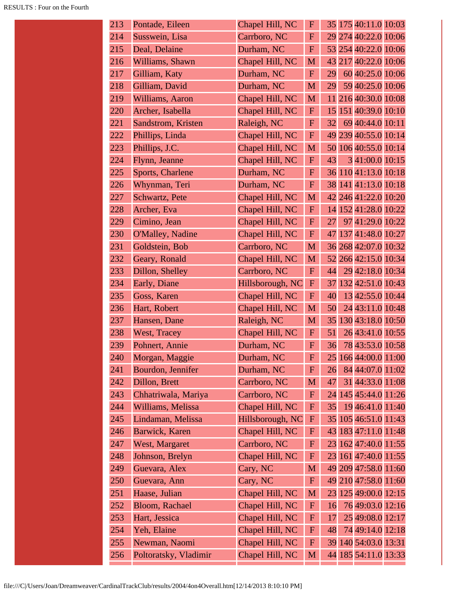| 213 | Pontade, Eileen       | Chapel Hill, NC  | $\mathbf F$  |    | 35 175 40:11.0 10:03 |  |
|-----|-----------------------|------------------|--------------|----|----------------------|--|
| 214 | Susswein, Lisa        | Carrboro, NC     | $\mathbf F$  |    | 29 274 40:22.0 10:06 |  |
| 215 | Deal, Delaine         | Durham, NC       | $\mathbf F$  |    | 53 254 40:22.0 10:06 |  |
| 216 | Williams, Shawn       | Chapel Hill, NC  | M            |    | 43 217 40:22.0 10:06 |  |
| 217 | Gilliam, Katy         | Durham, NC       | $\mathbf F$  | 29 | 60 40:25.0 10:06     |  |
| 218 | Gilliam, David        | Durham, NC       | M            | 29 | 59 40:25.0 10:06     |  |
| 219 | Williams, Aaron       | Chapel Hill, NC  | M            |    | 11 216 40:30.0 10:08 |  |
| 220 | Archer, Isabella      | Chapel Hill, NC  | $\mathbf{F}$ |    | 15 151 40:39.0 10:10 |  |
| 221 | Sandstrom, Kristen    | Raleigh, NC      | $\mathbf F$  | 32 | 69 40:44.0 10:11     |  |
| 222 | Phillips, Linda       | Chapel Hill, NC  | $\mathbf F$  |    | 49 239 40:55.0 10:14 |  |
| 223 | Phillips, J.C.        | Chapel Hill, NC  | M            |    | 50 106 40:55.0 10:14 |  |
| 224 | Flynn, Jeanne         | Chapel Hill, NC  | $\mathbf{F}$ | 43 | 3 41:00.0 10:15      |  |
| 225 | Sports, Charlene      | Durham, NC       | F            |    | 36 110 41:13.0 10:18 |  |
| 226 | Whynman, Teri         | Durham, NC       | ${\bf F}$    |    | 38 141 41:13.0 10:18 |  |
| 227 | Schwartz, Pete        | Chapel Hill, NC  | M            |    | 42 246 41:22.0 10:20 |  |
| 228 | Archer, Eva           | Chapel Hill, NC  | $\mathbf{F}$ |    | 14 152 41:28.0 10:22 |  |
| 229 | Cimino, Jean          | Chapel Hill, NC  | $\mathbf F$  | 27 | 97 41:29.0 10:22     |  |
| 230 | O'Malley, Nadine      | Chapel Hill, NC  | $\mathbf{F}$ | 47 | 137 41:48.0 10:27    |  |
| 231 | Goldstein, Bob        | Carrboro, NC     | M            |    | 36 268 42:07.0 10:32 |  |
| 232 | Geary, Ronald         | Chapel Hill, NC  | M            |    | 52 266 42:15.0 10:34 |  |
| 233 | Dillon, Shelley       | Carrboro, NC     | $\mathbf F$  | 44 | 29 42:18.0 10:34     |  |
| 234 | Early, Diane          | Hillsborough, NC | $\mathbf F$  | 37 | 132 42:51.0 10:43    |  |
| 235 | Goss, Karen           | Chapel Hill, NC  | $\mathbf F$  | 40 | 13 42:55.0 10:44     |  |
| 236 | Hart, Robert          | Chapel Hill, NC  | M            | 50 | 24 43:11.0 10:48     |  |
| 237 | Hansen, Dane          | Raleigh, NC      | M            |    | 35 130 43:18.0 10:50 |  |
| 238 | West, Tracey          | Chapel Hill, NC  | $\mathbf{F}$ | 51 | 26 43:41.0 10:55     |  |
| 239 | Pohnert, Annie        | Durham, NC       | $\mathbf{F}$ | 36 | 78 43:53.0 10:58     |  |
| 240 | Morgan, Maggie        | Durham, NC       | F            |    | 25 166 44:00.0 11:00 |  |
| 241 | Bourdon, Jennifer     | Durham, NC       | $\mathbf F$  | 26 | 84 44:07.0 11:02     |  |
| 242 | Dillon, Brett         | Carrboro, NC     | M            | 47 | 31 44:33.0 11:08     |  |
| 243 | Chhatriwala, Mariya   | Carrboro, NC     | $\mathbf{F}$ |    | 24 145 45:44.0 11:26 |  |
| 244 | Williams, Melissa     | Chapel Hill, NC  | $\mathbf F$  | 35 | 19 46:41.0 11:40     |  |
| 245 | Lindaman, Melissa     | Hillsborough, NC | $\mathbf F$  |    | 35 105 46:51.0 11:43 |  |
| 246 | Barwick, Karen        | Chapel Hill, NC  | $\mathbf F$  |    | 43 183 47:11.0 11:48 |  |
| 247 | West, Margaret        | Carrboro, NC     | $\mathbf{F}$ |    | 23 162 47:40.0 11:55 |  |
| 248 | Johnson, Brelyn       | Chapel Hill, NC  | $\mathbf F$  |    | 23 161 47:40.0 11:55 |  |
| 249 | Guevara, Alex         | Cary, NC         | M            |    | 49 209 47:58.0 11:60 |  |
| 250 | Guevara, Ann          | Cary, NC         | ${\bf F}$    |    | 49 210 47:58.0 11:60 |  |
| 251 | Haase, Julian         | Chapel Hill, NC  | M            |    | 23 125 49:00.0 12:15 |  |
| 252 | Bloom, Rachael        | Chapel Hill, NC  | $\mathbf{F}$ | 16 | 76 49:03.0 12:16     |  |
| 253 | Hart, Jessica         | Chapel Hill, NC  | $\mathbf F$  | 17 | 25 49:08.0 12:17     |  |
| 254 | Yeh, Elaine           | Chapel Hill, NC  | $\mathbf F$  | 48 | 74 49:14.0 12:18     |  |
| 255 | Newman, Naomi         | Chapel Hill, NC  | ${\bf F}$    |    | 39 140 54:03.0 13:31 |  |
| 256 | Poltoratsky, Vladimir | Chapel Hill, NC  | M            |    | 44 185 54:11.0 13:33 |  |
|     |                       |                  |              |    |                      |  |